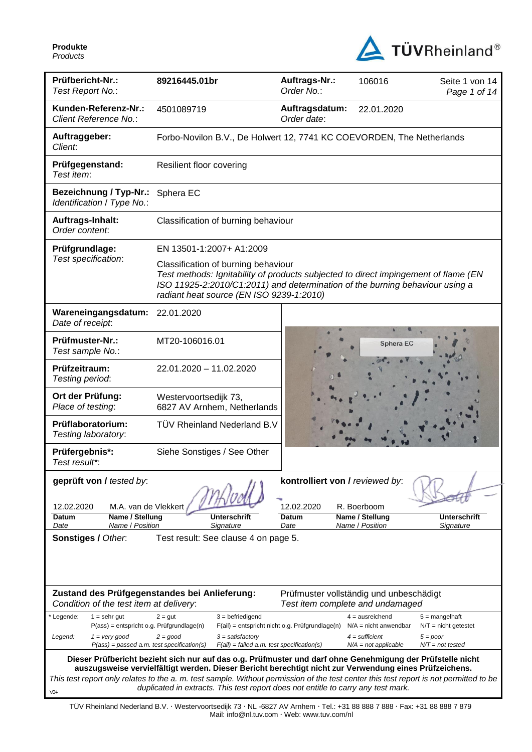

| Prüfbericht-Nr.:<br>Test Report No.:                                                                                  | 89216445.01br                                                                                                                                                                                                                                                                 | Auftrags-Nr.:<br>Order No.:                                                 | 106016                                            | Seite 1 von 14<br>Page 1 of 14             |  |  |  |
|-----------------------------------------------------------------------------------------------------------------------|-------------------------------------------------------------------------------------------------------------------------------------------------------------------------------------------------------------------------------------------------------------------------------|-----------------------------------------------------------------------------|---------------------------------------------------|--------------------------------------------|--|--|--|
| Kunden-Referenz-Nr.:<br>Client Reference No.:                                                                         | 4501089719                                                                                                                                                                                                                                                                    | Auftragsdatum:<br>Order date:                                               | 22.01.2020                                        |                                            |  |  |  |
| Auftraggeber:<br>Client:                                                                                              | Forbo-Novilon B.V., De Holwert 12, 7741 KC COEVORDEN, The Netherlands                                                                                                                                                                                                         |                                                                             |                                                   |                                            |  |  |  |
| Prüfgegenstand:<br>Test item:                                                                                         | Resilient floor covering                                                                                                                                                                                                                                                      |                                                                             |                                                   |                                            |  |  |  |
| <b>Bezeichnung / Typ-Nr.:</b><br>Identification / Type No.:                                                           | Sphera EC                                                                                                                                                                                                                                                                     |                                                                             |                                                   |                                            |  |  |  |
| Auftrags-Inhalt:<br>Order content:                                                                                    |                                                                                                                                                                                                                                                                               | Classification of burning behaviour                                         |                                                   |                                            |  |  |  |
| Prüfgrundlage:                                                                                                        | EN 13501-1:2007+ A1:2009                                                                                                                                                                                                                                                      |                                                                             |                                                   |                                            |  |  |  |
|                                                                                                                       | Test specification:<br>Classification of burning behaviour<br>Test methods: Ignitability of products subjected to direct impingement of flame (EN<br>ISO 11925-2:2010/C1:2011) and determination of the burning behaviour using a<br>radiant heat source (EN ISO 9239-1:2010) |                                                                             |                                                   |                                            |  |  |  |
| Wareneingangsdatum:<br>Date of receipt:                                                                               | 22.01.2020                                                                                                                                                                                                                                                                    |                                                                             |                                                   |                                            |  |  |  |
| Prüfmuster-Nr.:<br>Test sample No.:                                                                                   | MT20-106016.01                                                                                                                                                                                                                                                                |                                                                             | <b>Sphera EC</b>                                  |                                            |  |  |  |
| Prüfzeitraum:<br>Testing period:                                                                                      | 22.01.2020 - 11.02.2020                                                                                                                                                                                                                                                       |                                                                             |                                                   |                                            |  |  |  |
| Ort der Prüfung:<br>Place of testing:                                                                                 | Westervoortsedijk 73,<br>6827 AV Arnhem, Netherlands                                                                                                                                                                                                                          |                                                                             |                                                   |                                            |  |  |  |
| Prüflaboratorium:<br>Testing laboratory:                                                                              | TÜV Rheinland Nederland B.V                                                                                                                                                                                                                                                   |                                                                             |                                                   |                                            |  |  |  |
| Prüfergebnis*:<br>Test result*:                                                                                       | Siehe Sonstiges / See Other                                                                                                                                                                                                                                                   |                                                                             |                                                   |                                            |  |  |  |
| geprüft von / tested by:<br>M.A. van de Vlekkert<br>12.02.2020<br>Name / Stellung<br>Datum<br>Name / Position<br>Date | Unterschrift<br>Signature                                                                                                                                                                                                                                                     | kontrolliert von / reviewed by:<br>12.02.2020<br>Datum<br>Date              | R. Boerboom<br>Name / Stellung<br>Name / Position | <b>Unterschrift</b><br>Signature           |  |  |  |
| Sonstiges / Other.<br>Test result: See clause 4 on page 5.                                                            |                                                                                                                                                                                                                                                                               |                                                                             |                                                   |                                            |  |  |  |
| Condition of the test item at delivery:                                                                               | Zustand des Prüfgegenstandes bei Anlieferung:                                                                                                                                                                                                                                 | Prüfmuster vollständig und unbeschädigt<br>Test item complete and undamaged |                                                   |                                            |  |  |  |
| Legende:<br>$1 =$ sehr gut<br>P(ass) = entspricht o.g. Prüfgrundlage(n)                                               | $3 = \text{before}$<br>$2 = gut$                                                                                                                                                                                                                                              | F(ail) = entspricht nicht o.g. Prüfgrundlage(n)                             | $4 = a$ usreichend<br>$N/A$ = nicht anwendbar     | $5 =$ mangelhaft<br>$N/T =$ nicht getestet |  |  |  |
| $1 = \text{very good}$<br>Legend:<br>$P(ass) = passed a.m. test specification(s)$                                     | $2 = good$<br>$3 =$ satisfactory<br>$F(ai) = failed a.m. test specification(s)$                                                                                                                                                                                               |                                                                             | $4 =$ sufficient<br>$N/A = not applicable$        | $5 = poor$<br>$N/T = not tested$           |  |  |  |
|                                                                                                                       | Dieser Prüfbericht bezieht sich nur auf das o.g. Prüfmuster und darf ohne Genehmigung der Prüfstelle nicht<br>auszugsweise vervielfältigt werden. Dieser Bericht berechtigt nicht zur Verwendung eines Prüfzeichens.                                                          |                                                                             |                                                   |                                            |  |  |  |
|                                                                                                                       | This test report only relates to the a. m. test sample. Without permission of the test center this test report is not permitted to be                                                                                                                                         |                                                                             |                                                   |                                            |  |  |  |
|                                                                                                                       | duplicated in extracts. This test report does not entitle to carry any test mark.                                                                                                                                                                                             |                                                                             |                                                   |                                            |  |  |  |

TÜV Rheinland Nederland B.V. Westervoortsedijk 73 NL -6827 AV Arnhem Tel.: +31 88 888 7 888 Fax: +31 88 888 7 879 Mail: info@nl.tuv.com · Web: www.tuv.com/nl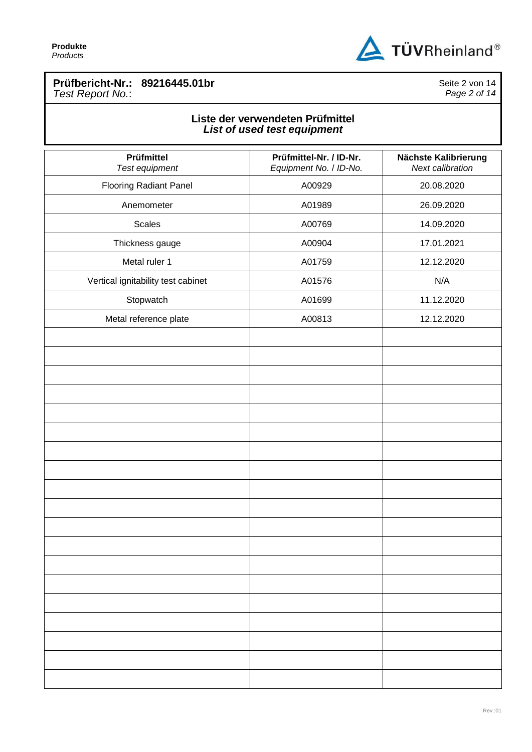

## **Prüfbericht-Nr.: 89216445.01br** *Test Report No.*:

Seite 2 von 14 *Page 2 of 14*

## **Liste der verwendeten Prüfmittel** *List of used test equipment*

| Prüfmittel<br>Test equipment       | Prüfmittel-Nr. / ID-Nr.<br>Equipment No. / ID-No. | Nächste Kalibrierung<br>Next calibration |
|------------------------------------|---------------------------------------------------|------------------------------------------|
| <b>Flooring Radiant Panel</b>      | A00929                                            | 20.08.2020                               |
| Anemometer                         | A01989                                            | 26.09.2020                               |
| <b>Scales</b>                      | A00769                                            | 14.09.2020                               |
| Thickness gauge                    | A00904                                            | 17.01.2021                               |
| Metal ruler 1                      | A01759                                            | 12.12.2020                               |
| Vertical ignitability test cabinet | A01576                                            | N/A                                      |
| Stopwatch                          | A01699                                            | 11.12.2020                               |
| Metal reference plate              | A00813                                            | 12.12.2020                               |
|                                    |                                                   |                                          |
|                                    |                                                   |                                          |
|                                    |                                                   |                                          |
|                                    |                                                   |                                          |
|                                    |                                                   |                                          |
|                                    |                                                   |                                          |
|                                    |                                                   |                                          |
|                                    |                                                   |                                          |
|                                    |                                                   |                                          |
|                                    |                                                   |                                          |
|                                    |                                                   |                                          |
|                                    |                                                   |                                          |
|                                    |                                                   |                                          |
|                                    |                                                   |                                          |
|                                    |                                                   |                                          |
|                                    |                                                   |                                          |
|                                    |                                                   |                                          |
|                                    |                                                   |                                          |
|                                    |                                                   |                                          |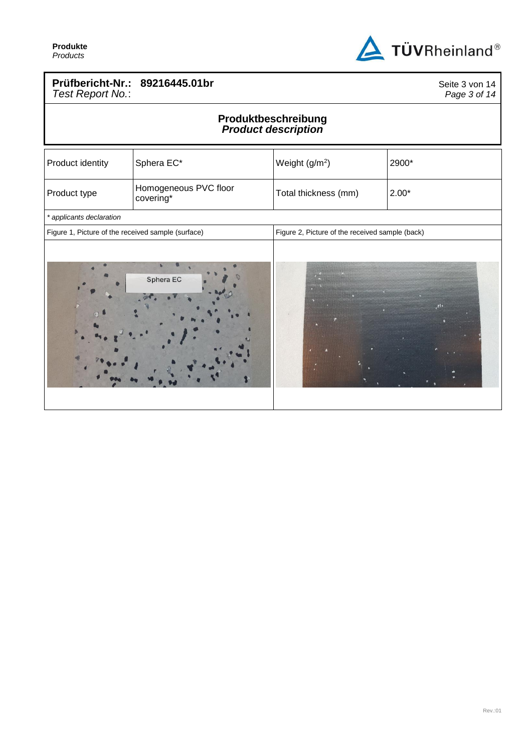

## **Prüfbericht-Nr.: 89216445.01br** *Test Report No.*:

Seite 3 von 14 *Page 3 of 14*

## **Produktbeschreibung** *Product description*

| Product identity                                   | Sphera EC*                         | Weight (g/m <sup>2</sup> )                      | 2900*   |
|----------------------------------------------------|------------------------------------|-------------------------------------------------|---------|
| Product type                                       | Homogeneous PVC floor<br>covering* | Total thickness (mm)                            | $2.00*$ |
| * applicants declaration                           |                                    |                                                 |         |
| Figure 1, Picture of the received sample (surface) |                                    | Figure 2, Picture of the received sample (back) |         |
|                                                    | Sphera EC                          |                                                 | $y$ ł + |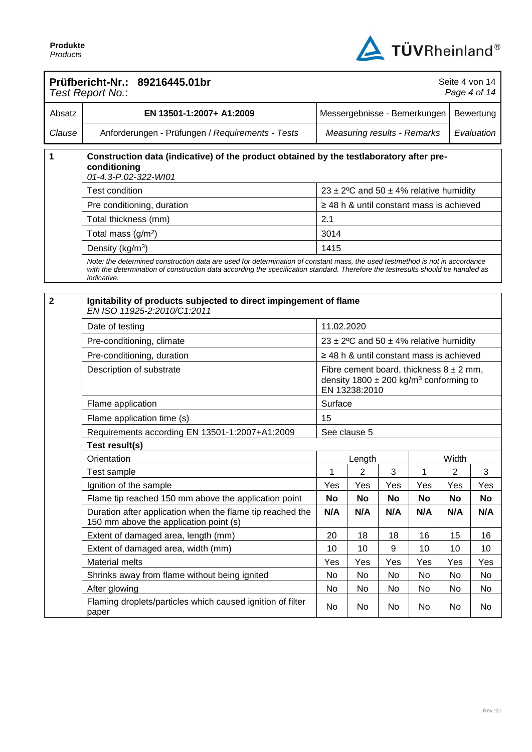

|                | Prüfbericht-Nr.: 89216445.01br<br>Test Report No.:                                                                                                                                                                                                                              |                                    |                              |     |                                                                                                       | Seite 4 von 14 | Page 4 of 14 |
|----------------|---------------------------------------------------------------------------------------------------------------------------------------------------------------------------------------------------------------------------------------------------------------------------------|------------------------------------|------------------------------|-----|-------------------------------------------------------------------------------------------------------|----------------|--------------|
| Absatz         | EN 13501-1:2007+ A1:2009                                                                                                                                                                                                                                                        |                                    | Messergebnisse - Bemerkungen |     |                                                                                                       |                | Bewertung    |
| Clause         | Anforderungen - Prüfungen / Requirements - Tests                                                                                                                                                                                                                                | <b>Measuring results - Remarks</b> |                              |     |                                                                                                       |                | Evaluation   |
| 1              | Construction data (indicative) of the product obtained by the testlaboratory after pre-<br>conditioning<br>01-4.3-P.02-322-WI01                                                                                                                                                 |                                    |                              |     |                                                                                                       |                |              |
|                | Test condition                                                                                                                                                                                                                                                                  |                                    |                              |     | 23 ± 2°C and 50 ± 4% relative humidity                                                                |                |              |
|                | Pre conditioning, duration                                                                                                                                                                                                                                                      |                                    |                              |     | $\geq$ 48 h & until constant mass is achieved                                                         |                |              |
|                | Total thickness (mm)                                                                                                                                                                                                                                                            | 2.1                                |                              |     |                                                                                                       |                |              |
|                | Total mass $(g/m2)$                                                                                                                                                                                                                                                             | 3014                               |                              |     |                                                                                                       |                |              |
|                | Density (kg/m <sup>3</sup> )                                                                                                                                                                                                                                                    | 1415                               |                              |     |                                                                                                       |                |              |
|                | Note: the determined construction data are used for determination of constant mass, the used testmethod is not in accordance<br>with the determination of construction data according the specification standard. Therefore the testresults should be handled as<br>indicative. |                                    |                              |     |                                                                                                       |                |              |
|                |                                                                                                                                                                                                                                                                                 |                                    |                              |     |                                                                                                       |                |              |
| $\overline{2}$ | Ignitability of products subjected to direct impingement of flame<br>EN ISO 11925-2:2010/C1:2011                                                                                                                                                                                |                                    |                              |     |                                                                                                       |                |              |
|                | Date of testing                                                                                                                                                                                                                                                                 | 11.02.2020                         |                              |     |                                                                                                       |                |              |
|                | Pre-conditioning, climate                                                                                                                                                                                                                                                       |                                    |                              |     | 23 ± 2°C and 50 ± 4% relative humidity                                                                |                |              |
|                | Pre-conditioning, duration                                                                                                                                                                                                                                                      |                                    |                              |     | $\geq$ 48 h & until constant mass is achieved                                                         |                |              |
|                | Description of substrate                                                                                                                                                                                                                                                        |                                    | EN 13238:2010                |     | Fibre cement board, thickness $8 \pm 2$ mm,<br>density $1800 \pm 200$ kg/m <sup>3</sup> conforming to |                |              |
|                | Flame application                                                                                                                                                                                                                                                               | Surface                            |                              |     |                                                                                                       |                |              |
|                | Flame application time (s)                                                                                                                                                                                                                                                      | 15                                 |                              |     |                                                                                                       |                |              |
|                | Requirements according EN 13501-1:2007+A1:2009                                                                                                                                                                                                                                  |                                    | See clause 5                 |     |                                                                                                       |                |              |
|                | Test result(s)                                                                                                                                                                                                                                                                  |                                    |                              |     |                                                                                                       |                |              |
|                | Orientation                                                                                                                                                                                                                                                                     |                                    | Length                       |     |                                                                                                       | Width          |              |
|                | Test sample                                                                                                                                                                                                                                                                     | 1                                  | 2                            | 3   | 1                                                                                                     | 2              | 3            |
|                | Ignition of the sample                                                                                                                                                                                                                                                          | Yes                                | Yes                          | Yes | Yes                                                                                                   | Yes            | Yes          |
|                | Flame tip reached 150 mm above the application point                                                                                                                                                                                                                            | No                                 | No                           | No  | No                                                                                                    | <b>No</b>      | <b>No</b>    |
|                | Duration after application when the flame tip reached the<br>150 mm above the application point (s)                                                                                                                                                                             | N/A                                | N/A                          | N/A | N/A                                                                                                   | N/A            | N/A          |
|                | Extent of damaged area, length (mm)                                                                                                                                                                                                                                             | 20                                 | 18                           | 18  | 16                                                                                                    | 15             | 16           |
|                | Extent of damaged area, width (mm)                                                                                                                                                                                                                                              | 10                                 | 10                           | 9   | 10                                                                                                    | 10             | 10           |
|                | <b>Material melts</b>                                                                                                                                                                                                                                                           | Yes                                | Yes                          | Yes | Yes                                                                                                   | Yes            | Yes          |
|                | Shrinks away from flame without being ignited                                                                                                                                                                                                                                   | No                                 | No                           | No  | No                                                                                                    | No             | No           |
|                | After glowing                                                                                                                                                                                                                                                                   | No                                 | No                           | No  | No                                                                                                    | No             | No           |
|                | Flaming droplets/particles which caused ignition of filter<br>paper                                                                                                                                                                                                             | No                                 | No                           | No  | No                                                                                                    | No             | No           |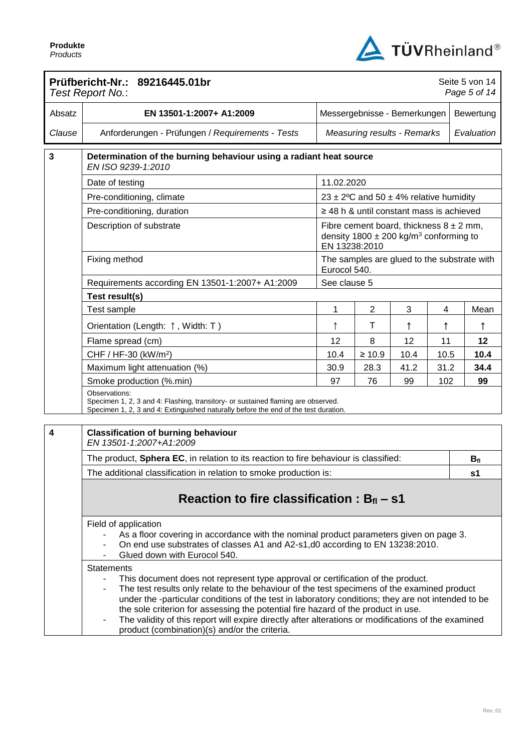

|        | Prüfbericht-Nr.: 89216445.01br<br>Test Report No.:                                                                                                                                                                                                                                                                                                                                                                                                                                                                                                                                         |                              |                |                                                                                                       |      |  | Seite 5 von 14<br>Page 5 of 14 |
|--------|--------------------------------------------------------------------------------------------------------------------------------------------------------------------------------------------------------------------------------------------------------------------------------------------------------------------------------------------------------------------------------------------------------------------------------------------------------------------------------------------------------------------------------------------------------------------------------------------|------------------------------|----------------|-------------------------------------------------------------------------------------------------------|------|--|--------------------------------|
| Absatz | EN 13501-1:2007+ A1:2009                                                                                                                                                                                                                                                                                                                                                                                                                                                                                                                                                                   | Messergebnisse - Bemerkungen |                |                                                                                                       |      |  | Bewertung                      |
| Clause | Anforderungen - Prüfungen / Requirements - Tests                                                                                                                                                                                                                                                                                                                                                                                                                                                                                                                                           |                              |                | <b>Measuring results - Remarks</b>                                                                    |      |  | Evaluation                     |
| 3      | Determination of the burning behaviour using a radiant heat source<br>EN ISO 9239-1:2010                                                                                                                                                                                                                                                                                                                                                                                                                                                                                                   |                              |                |                                                                                                       |      |  |                                |
|        | Date of testing                                                                                                                                                                                                                                                                                                                                                                                                                                                                                                                                                                            | 11.02.2020                   |                |                                                                                                       |      |  |                                |
|        | Pre-conditioning, climate                                                                                                                                                                                                                                                                                                                                                                                                                                                                                                                                                                  |                              |                | 23 ± 2°C and 50 ± 4% relative humidity                                                                |      |  |                                |
|        | Pre-conditioning, duration                                                                                                                                                                                                                                                                                                                                                                                                                                                                                                                                                                 |                              |                | $\geq$ 48 h & until constant mass is achieved                                                         |      |  |                                |
|        | Description of substrate                                                                                                                                                                                                                                                                                                                                                                                                                                                                                                                                                                   | EN 13238:2010                |                | Fibre cement board, thickness $8 \pm 2$ mm,<br>density $1800 \pm 200$ kg/m <sup>3</sup> conforming to |      |  |                                |
|        | Fixing method                                                                                                                                                                                                                                                                                                                                                                                                                                                                                                                                                                              | Eurocol 540.                 |                | The samples are glued to the substrate with                                                           |      |  |                                |
|        | Requirements according EN 13501-1:2007+ A1:2009                                                                                                                                                                                                                                                                                                                                                                                                                                                                                                                                            | See clause 5                 |                |                                                                                                       |      |  |                                |
|        | Test result(s)                                                                                                                                                                                                                                                                                                                                                                                                                                                                                                                                                                             |                              |                |                                                                                                       |      |  |                                |
|        | Test sample                                                                                                                                                                                                                                                                                                                                                                                                                                                                                                                                                                                | 1                            | $\overline{c}$ | 3                                                                                                     | 4    |  | Mean                           |
|        | Orientation (Length: ↑, Width: T)                                                                                                                                                                                                                                                                                                                                                                                                                                                                                                                                                          | ↑                            | Τ              | ↑                                                                                                     |      |  | ↑                              |
|        | Flame spread (cm)                                                                                                                                                                                                                                                                                                                                                                                                                                                                                                                                                                          | 12                           | 8              | 12                                                                                                    | 11   |  | 12                             |
|        | CHF / HF-30 (kW/m <sup>2</sup> )                                                                                                                                                                                                                                                                                                                                                                                                                                                                                                                                                           | 10.4                         | $\geq 10.9$    | 10.4                                                                                                  | 10.5 |  | 10.4                           |
|        | Maximum light attenuation (%)                                                                                                                                                                                                                                                                                                                                                                                                                                                                                                                                                              | 30.9                         | 28.3           | 41.2                                                                                                  | 31.2 |  | 34.4                           |
|        | Smoke production (%.min)                                                                                                                                                                                                                                                                                                                                                                                                                                                                                                                                                                   | 97                           | 76             | 99                                                                                                    | 102  |  | 99                             |
|        | Observations:<br>Specimen 1, 2, 3 and 4: Flashing, transitory- or sustained flaming are observed.<br>Specimen 1, 2, 3 and 4: Extinguished naturally before the end of the test duration.                                                                                                                                                                                                                                                                                                                                                                                                   |                              |                |                                                                                                       |      |  |                                |
| 4      | <b>Classification of burning behaviour</b><br>EN 13501-1:2007+A1:2009                                                                                                                                                                                                                                                                                                                                                                                                                                                                                                                      |                              |                |                                                                                                       |      |  |                                |
|        | The product, Sphera EC, in relation to its reaction to fire behaviour is classified:                                                                                                                                                                                                                                                                                                                                                                                                                                                                                                       |                              |                |                                                                                                       |      |  | $B_{fl}$                       |
|        | The additional classification in relation to smoke production is:                                                                                                                                                                                                                                                                                                                                                                                                                                                                                                                          |                              |                |                                                                                                       |      |  | s <sub>1</sub>                 |
|        | Reaction to fire classification : $B_{fl}$ – s1                                                                                                                                                                                                                                                                                                                                                                                                                                                                                                                                            |                              |                |                                                                                                       |      |  |                                |
|        | Field of application<br>As a floor covering in accordance with the nominal product parameters given on page 3.<br>On end use substrates of classes A1 and A2-s1,d0 according to EN 13238:2010.<br>Glued down with Eurocol 540.                                                                                                                                                                                                                                                                                                                                                             |                              |                |                                                                                                       |      |  |                                |
|        | <b>Statements</b><br>This document does not represent type approval or certification of the product.<br>$\blacksquare$<br>The test results only relate to the behaviour of the test specimens of the examined product<br>$\blacksquare$<br>under the -particular conditions of the test in laboratory conditions; they are not intended to be<br>the sole criterion for assessing the potential fire hazard of the product in use.<br>The validity of this report will expire directly after alterations or modifications of the examined<br>product (combination)(s) and/or the criteria. |                              |                |                                                                                                       |      |  |                                |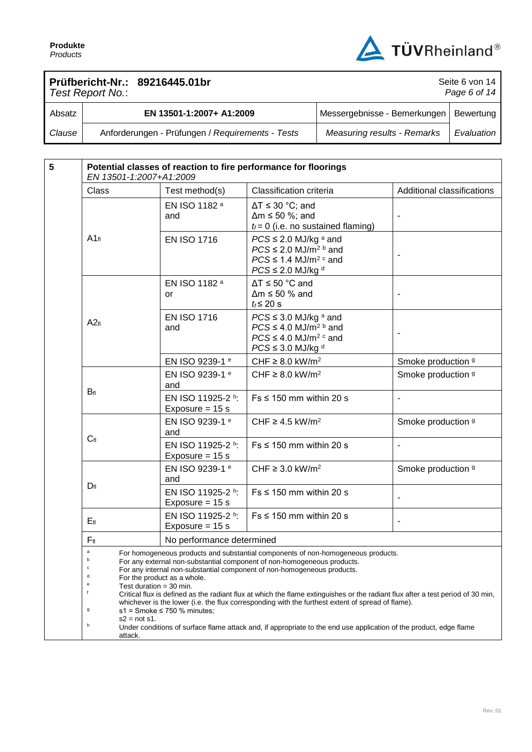

Seite 6 von 14

## **Prüfbericht-Nr.: 89216445.01br**

|        | Test Report No.:                                 | Page 6 of $14$                           |            |  |  |
|--------|--------------------------------------------------|------------------------------------------|------------|--|--|
| Absatz | EN 13501-1:2007+ A1:2009                         | Messergebnisse - Bemerkungen   Bewertung |            |  |  |
| Clause | Anforderungen - Prüfungen / Requirements - Tests | <b>Measuring results - Remarks</b>       | Evaluation |  |  |

| $5\phantom{1}$ | Potential classes of reaction to fire performance for floorings<br>EN 13501-1:2007+A1:2009                                                            |                                                                                                                                                                                                                                                                                                                                                                                                                                                                                |                                                                                                                                                       |                              |  |  |
|----------------|-------------------------------------------------------------------------------------------------------------------------------------------------------|--------------------------------------------------------------------------------------------------------------------------------------------------------------------------------------------------------------------------------------------------------------------------------------------------------------------------------------------------------------------------------------------------------------------------------------------------------------------------------|-------------------------------------------------------------------------------------------------------------------------------------------------------|------------------------------|--|--|
|                | Class                                                                                                                                                 | Test method(s)                                                                                                                                                                                                                                                                                                                                                                                                                                                                 | Classification criteria                                                                                                                               | Additional classifications   |  |  |
|                |                                                                                                                                                       | EN ISO 1182 a<br>and                                                                                                                                                                                                                                                                                                                                                                                                                                                           | $\Delta T \leq 30$ °C; and<br>$\Delta m \le 50$ %; and<br>$t_f = 0$ (i.e. no sustained flaming)                                                       |                              |  |  |
|                | $A1_{fl}$                                                                                                                                             | <b>EN ISO 1716</b>                                                                                                                                                                                                                                                                                                                                                                                                                                                             | $PCS \leq 2.0$ MJ/kg $a$ and<br>$PCS \leq 2.0$ MJ/m <sup>2 b</sup> and<br>$PCS \leq 1.4$ MJ/m <sup>2 c</sup> and<br>$PCS \leq 2.0$ MJ/kg <sup>d</sup> |                              |  |  |
|                |                                                                                                                                                       | EN ISO 1182 a<br>or                                                                                                                                                                                                                                                                                                                                                                                                                                                            | $\Delta T \le 50$ °C and<br>$\Delta m \le 50$ % and<br>$t_f \leq 20$ s                                                                                |                              |  |  |
|                | A2f1                                                                                                                                                  | <b>EN ISO 1716</b><br>and                                                                                                                                                                                                                                                                                                                                                                                                                                                      | $PCS \leq 3.0$ MJ/kg a and<br>$PCS \leq 4.0$ MJ/m <sup>2 b</sup> and<br>$PCS \leq 4.0$ MJ/m <sup>2 c</sup> and<br>$PCS \leq 3.0$ MJ/kg d              |                              |  |  |
|                |                                                                                                                                                       | EN ISO 9239-1 e                                                                                                                                                                                                                                                                                                                                                                                                                                                                | CHF $\geq$ 8.0 kW/m <sup>2</sup>                                                                                                                      | Smoke production 9           |  |  |
|                |                                                                                                                                                       | EN ISO 9239-1 e<br>and                                                                                                                                                                                                                                                                                                                                                                                                                                                         | CHF $\geq$ 8.0 kW/m <sup>2</sup>                                                                                                                      | Smoke production 9           |  |  |
|                | $B_{fl}$                                                                                                                                              | EN ISO 11925-2 h:<br>Exposure = $15 s$                                                                                                                                                                                                                                                                                                                                                                                                                                         | $Fs \leq 150$ mm within 20 s                                                                                                                          | $\overline{\phantom{a}}$     |  |  |
|                |                                                                                                                                                       | EN ISO 9239-1 e<br>and                                                                                                                                                                                                                                                                                                                                                                                                                                                         | CHF $\geq$ 4.5 kW/m <sup>2</sup>                                                                                                                      | Smoke production 9           |  |  |
|                | $C_{fl}$                                                                                                                                              | EN ISO 11925-2 h:<br>Exposure = $15 s$                                                                                                                                                                                                                                                                                                                                                                                                                                         | $Fs \leq 150$ mm within 20 s                                                                                                                          | $\blacksquare$               |  |  |
|                |                                                                                                                                                       | EN ISO 9239-1 e<br>and                                                                                                                                                                                                                                                                                                                                                                                                                                                         | CHF $\geq$ 3.0 kW/m <sup>2</sup>                                                                                                                      | Smoke production 9           |  |  |
|                | $D_{fl}$                                                                                                                                              | EN ISO 11925-2 h:<br>Exposure = $15 s$                                                                                                                                                                                                                                                                                                                                                                                                                                         | $Fs \leq 150$ mm within 20 s                                                                                                                          |                              |  |  |
|                | $E_{fl}$                                                                                                                                              | EN ISO 11925-2 h:<br>Exposure = $15 s$                                                                                                                                                                                                                                                                                                                                                                                                                                         | $Fs \leq 150$ mm within 20 s                                                                                                                          | $\qquad \qquad \blacksquare$ |  |  |
|                | $F_{\rm fl}$                                                                                                                                          | No performance determined                                                                                                                                                                                                                                                                                                                                                                                                                                                      |                                                                                                                                                       |                              |  |  |
|                | $\mathsf a$<br>c<br>d<br>For the product as a whole.<br>e<br>Test duration = 30 min.<br>f<br>g<br>$s1$ = Smoke $\leq$ 750 % minutes;                  | For homogeneous products and substantial components of non-homogeneous products.<br>For any external non-substantial component of non-homogeneous products.<br>For any internal non-substantial component of non-homogeneous products.<br>Critical flux is defined as the radiant flux at which the flame extinguishes or the radiant flux after a test period of 30 min,<br>whichever is the lower (i.e. the flux corresponding with the furthest extent of spread of flame). |                                                                                                                                                       |                              |  |  |
|                | $s2 = not s1$ .<br>h<br>Under conditions of surface flame attack and, if appropriate to the end use application of the product, edge flame<br>attack. |                                                                                                                                                                                                                                                                                                                                                                                                                                                                                |                                                                                                                                                       |                              |  |  |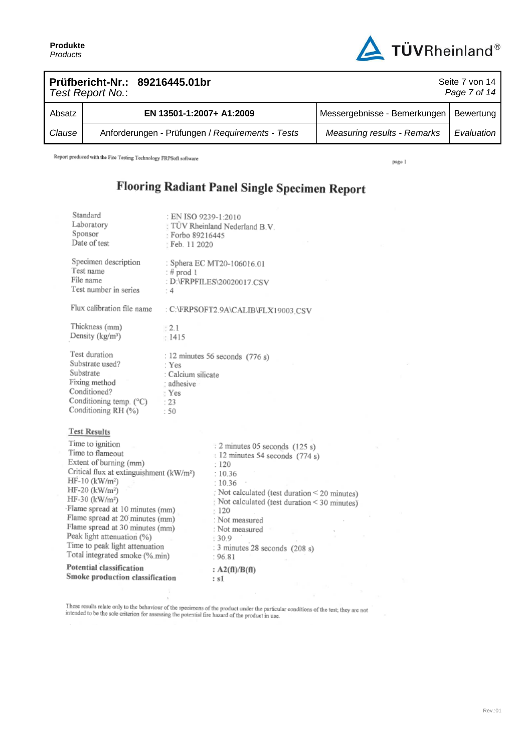

|        | Test Report No.: | Prüfbericht-Nr.: 89216445.01br                   | Seite 7 von 14<br>Page 7 of 14           |            |  |  |  |
|--------|------------------|--------------------------------------------------|------------------------------------------|------------|--|--|--|
| Absatz |                  | EN 13501-1:2007+ A1:2009                         | Messergebnisse - Bemerkungen   Bewertung |            |  |  |  |
| Clause |                  | Anforderungen - Prüfungen / Requirements - Tests | <b>Measuring results - Remarks</b>       | Evaluation |  |  |  |

Report produced with the Fire Testing Technology FRPSoft software

page 1

## Flooring Radiant Panel Single Specimen Report

| Standard<br>Laboratory<br>Sponsor<br>Date of test                                                                                                                                                                                                                                                                                                                                                                             | : EN ISO 9239-1:2010<br>TÜV Rheinland Nederland B.V.<br>Forbo 89216445<br>: Feb. 11 2020             |                                                                                                                                                             |                                                                                            |
|-------------------------------------------------------------------------------------------------------------------------------------------------------------------------------------------------------------------------------------------------------------------------------------------------------------------------------------------------------------------------------------------------------------------------------|------------------------------------------------------------------------------------------------------|-------------------------------------------------------------------------------------------------------------------------------------------------------------|--------------------------------------------------------------------------------------------|
| Specimen description<br>Test name<br>File name<br>Test number in series                                                                                                                                                                                                                                                                                                                                                       | : Sphera EC MT20-106016.01<br>$:$ # prod 1<br>: D:\FRPFILES\20020017.CSV<br>: 4                      |                                                                                                                                                             |                                                                                            |
| Flux calibration file name                                                                                                                                                                                                                                                                                                                                                                                                    |                                                                                                      | : C:\FRPSOFT2.9A\CALIB\FLX19003.CSV                                                                                                                         |                                                                                            |
| Thickness (mm)<br>Density (kg/m <sup>3</sup> )                                                                                                                                                                                                                                                                                                                                                                                | : 2.1<br>: 1415                                                                                      |                                                                                                                                                             |                                                                                            |
| Test duration<br>Substrate used?<br>Substrate<br>Fixing method<br>Conditioned?<br>Conditioning temp. (°C)<br>Conditioning RH (%)                                                                                                                                                                                                                                                                                              | : 12 minutes 56 seconds (776 s)<br>: Yes<br>: Calcium silicate<br>: adhesive<br>: Yes<br>: 23<br>:50 |                                                                                                                                                             |                                                                                            |
| <b>Test Results</b>                                                                                                                                                                                                                                                                                                                                                                                                           |                                                                                                      |                                                                                                                                                             |                                                                                            |
| Time to ignition<br>Time to flameout<br>Extent of burning (mm)<br>Critical flux at extinguishment (kW/m <sup>2</sup> )<br>$HF-10$ (kW/m <sup>2</sup> )<br>HF-20 (kW/m <sup>2</sup> )<br>HF-30 (kW/m <sup>2</sup> )<br>Flame spread at 10 minutes (mm)<br>Flame spread at 20 minutes (mm)<br>Flame spread at 30 minutes (mm)<br>Peak light attenuation (%)<br>Time to peak light attenuation<br>Total integrated smoke (%.min) | :120<br>120<br>: 30.9<br>: 96.81                                                                     | : 2 minutes 05 seconds (125 s)<br>: 12 minutes 54 seconds (774 s)<br>:10.36<br>:10.36<br>: Not measured<br>: Not measured<br>: 3 minutes 28 seconds (208 s) | Not calculated (test duration < 20 minutes)<br>Not calculated (test duration < 30 minutes) |
| Potential classification<br>Smoke production classification                                                                                                                                                                                                                                                                                                                                                                   | : sI                                                                                                 | : $A2(fI)/B(fI)$                                                                                                                                            |                                                                                            |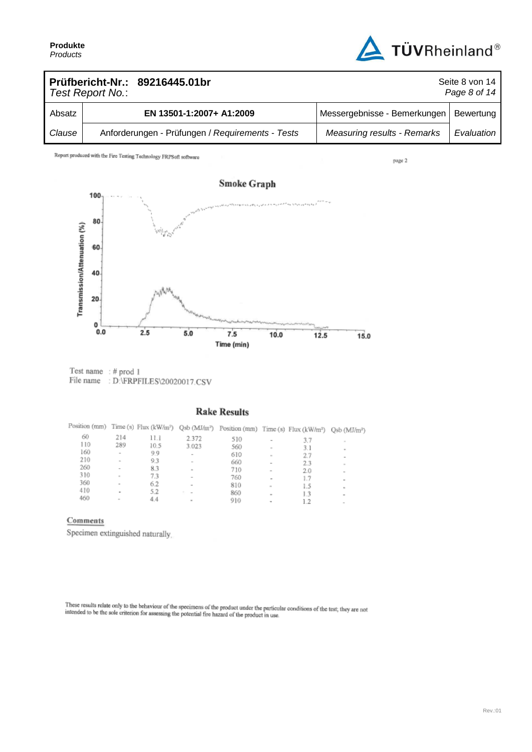

| Prüfbericht-Nr.: 89216445.01br<br>Seite 8 von 14<br>Page 8 of 14<br>Test Report No.: |  |                                                  |                                          |            |  |
|--------------------------------------------------------------------------------------|--|--------------------------------------------------|------------------------------------------|------------|--|
| Absatz                                                                               |  | EN 13501-1:2007+ A1:2009                         | Messergebnisse - Bemerkungen   Bewertung |            |  |
| Clause                                                                               |  | Anforderungen - Prüfungen / Requirements - Tests | <b>Measuring results - Remarks</b>       | Evaluation |  |

Report produced with the Fire Testing Technology FRPSoft software

page 2



 $\begin{tabular}{ll} Test name & : \# prod 1 \\ File name & : D:\!{\small FRFFILES\!20020017.CSV} \end{tabular}$ 

## **Rake Results**

|     |                          |      |                          | Position (mm) Time (s) Flux (kW/m <sup>2</sup> ) Qsb (MJ/m <sup>2</sup> ) Position (mm) Time (s) Flux (kW/m <sup>2</sup> ) Qsb (MJ/m <sup>2</sup> ) |                          |     |                          |
|-----|--------------------------|------|--------------------------|-----------------------------------------------------------------------------------------------------------------------------------------------------|--------------------------|-----|--------------------------|
| 60  | 214                      | 11.1 | 2.372                    | 510                                                                                                                                                 | $\overline{\phantom{a}}$ | 3.7 | $\sim$                   |
| 110 | 289                      | 10.5 | 3.023                    | 560                                                                                                                                                 | $\sim$                   | 3.1 |                          |
| 160 | $\overline{\phantom{a}}$ | 9.9  | $\sim$                   | 610                                                                                                                                                 | $\sim$                   | 2.7 | $\sim$<br>۰              |
| 210 | $\sim$                   | 9.3  | $\sim$                   | 660                                                                                                                                                 | ۰                        | 2.3 | $\mathbf{r}$             |
| 260 | $\overline{\phantom{a}}$ | 8.3  | ×.                       | 710                                                                                                                                                 | $\sim$                   | 2.0 | $\sim$                   |
| 310 | $\sim$                   | 7.3  | $\sim$                   | 760                                                                                                                                                 | $\sim$                   | 1.7 |                          |
| 360 | $\sim$                   | 6.2  | $\sim$                   | 810                                                                                                                                                 | $\sim$                   | 1.5 | ×.                       |
| 410 | $\overline{\phantom{0}}$ | 5.2  | $\overline{\phantom{a}}$ | 860                                                                                                                                                 | ۰                        | 1.3 | ۰                        |
| 460 | $\sim$                   | 4.4  | $\mathbf{m}$             | 910                                                                                                                                                 | ۰                        | 1.2 | $\overline{\phantom{a}}$ |

#### Comments

Specimen extinguished naturally,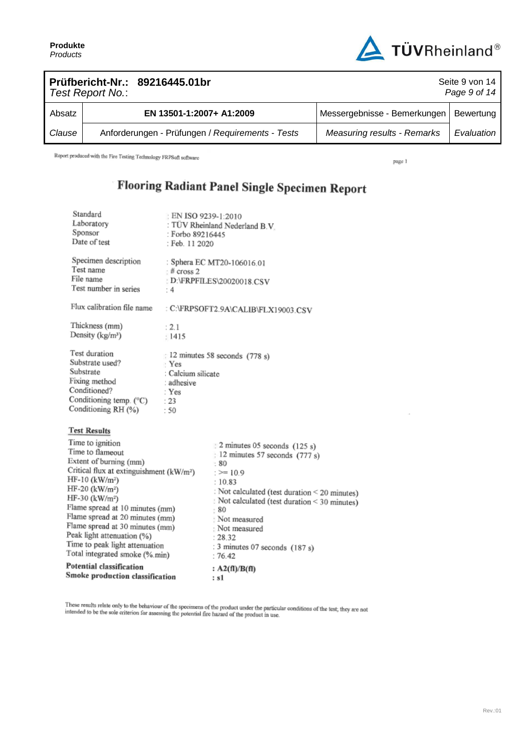

|        | Test Report No.: | Prüfbericht-Nr.: 89216445.01br                   | Seite 9 von 14<br>Page 9 of 14     |            |  |  |  |
|--------|------------------|--------------------------------------------------|------------------------------------|------------|--|--|--|
| Absatz |                  | EN 13501-1:2007+ A1:2009                         | Messergebnisse - Bemerkungen       | Bewertung  |  |  |  |
| Clause |                  | Anforderungen - Prüfungen / Requirements - Tests | <b>Measuring results - Remarks</b> | Evaluation |  |  |  |

Report produced with the Fire Testing Technology FRPSoft software

page 1

# Flooring Radiant Panel Single Specimen Report

| Standard<br>Laboratory<br>Sponsor<br>Date of test                                                                                                                                                                                                                                                                                                                                                                               | EN ISO 9239-1:2010<br>: Forbo 89216445<br>: Feb. 11 2020          | : TÜV Rheinland Nederland B.V.                                                                                                                                                                                                                                                                                       |  |  |
|---------------------------------------------------------------------------------------------------------------------------------------------------------------------------------------------------------------------------------------------------------------------------------------------------------------------------------------------------------------------------------------------------------------------------------|-------------------------------------------------------------------|----------------------------------------------------------------------------------------------------------------------------------------------------------------------------------------------------------------------------------------------------------------------------------------------------------------------|--|--|
| Specimen description<br>Test name<br>File name<br>Test number in series                                                                                                                                                                                                                                                                                                                                                         | $#$ cross 2<br>: $4$                                              | : Sphera EC MT20-106016.01<br>: D:\FRPFILES\20020018.CSV                                                                                                                                                                                                                                                             |  |  |
| Flux calibration file name                                                                                                                                                                                                                                                                                                                                                                                                      |                                                                   | : C:\FRPSOFT2.9A\CALIB\FLX19003.CSV                                                                                                                                                                                                                                                                                  |  |  |
| Thickness (mm)<br>Density (kg/m <sup>3</sup> )                                                                                                                                                                                                                                                                                                                                                                                  | : 2.1<br>: 1415                                                   |                                                                                                                                                                                                                                                                                                                      |  |  |
| Test duration<br>Substrate used?<br>Substrate<br>Fixing method<br>Conditioned?<br>Conditioning temp. (°C)<br>Conditioning RH (%)                                                                                                                                                                                                                                                                                                | : Yes<br>: Calcium silicate<br>: adhesive<br>: Yes<br>: 23<br>:50 | 12 minutes 58 seconds (778 s)                                                                                                                                                                                                                                                                                        |  |  |
| <b>Test Results</b>                                                                                                                                                                                                                                                                                                                                                                                                             |                                                                   |                                                                                                                                                                                                                                                                                                                      |  |  |
| Time to ignition<br>Time to flameout<br>Extent of burning (mm)<br>Critical flux at extinguishment (kW/m <sup>2</sup> )<br>$HF-10$ (kW/m <sup>2</sup> )<br>$HF-20$ (kW/m <sup>2</sup> )<br>HF-30 (kW/m <sup>2</sup> )<br>Flame spread at 10 minutes (mm)<br>Flame spread at 20 minutes (mm)<br>Flame spread at 30 minutes (mm)<br>Peak light attenuation (%)<br>Time to peak light attenuation<br>Total integrated smoke (%.min) |                                                                   | $\approx$ 2 minutes 05 seconds (125 s)<br>$\frac{12}{2}$ minutes 57 seconds (777 s)<br>: 80<br>$:= 10.9$<br>: 10.83<br>: Not calculated (test duration < 20 minutes)<br>Not calculated (test duration < 30 minutes)<br>- 80<br>Not measured<br>: Not measured<br>: 28.32<br>: 3 minutes 07 seconds (187 s)<br>:76.42 |  |  |
| Potential classification<br>Smoke production classification                                                                                                                                                                                                                                                                                                                                                                     |                                                                   | : $A2(fI)/B(fI)$<br>: s1                                                                                                                                                                                                                                                                                             |  |  |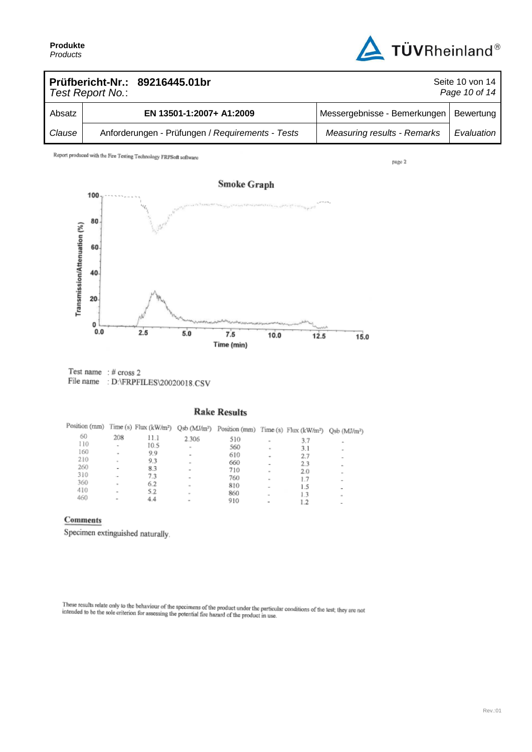

| Prüfbericht-Nr.: 89216445.01br<br>Test Report No.: |  |                                                  |                                    | Seite 10 von 14<br>Page 10 of 14 |
|----------------------------------------------------|--|--------------------------------------------------|------------------------------------|----------------------------------|
| Absatz                                             |  | EN 13501-1:2007+ A1:2009                         | Messergebnisse - Bemerkungen       | Bewertung                        |
| Clause                                             |  | Anforderungen - Prüfungen / Requirements - Tests | <b>Measuring results - Remarks</b> | Evaluation                       |

Report produced with the Fire Testing Technology FRPSoft software

page 2



Test name  $: #$  cross 2 File name : D:\FRPFILES\20020018.CSV

#### **Rake Results**

|     |                          |      |                          | Position (mm) Time (s) Flux (kW/m <sup>2</sup> ) Qsb (MJ/m <sup>2</sup> ) Position (mm) Time (s) Flux (kW/m <sup>2</sup> ) Qsb (MJ/m <sup>2</sup> ) |        |     |        |
|-----|--------------------------|------|--------------------------|-----------------------------------------------------------------------------------------------------------------------------------------------------|--------|-----|--------|
| 60  | 208                      | 11.1 | 2.306                    | 510                                                                                                                                                 | $\sim$ | 3.7 |        |
| 110 | ۰                        | 10.5 | $\overline{\phantom{a}}$ | 560                                                                                                                                                 | $\sim$ | 3.1 |        |
| 160 | $\overline{\phantom{a}}$ | 9.9  | $\overline{\phantom{0}}$ | 610                                                                                                                                                 |        | 2.7 |        |
| 210 | $\sim$                   | 9.3  | ×                        | 660                                                                                                                                                 | ۰      | 2.3 | ۰      |
| 260 | $\overline{a}$           | 8.3  | $\sim$                   | 710                                                                                                                                                 | $\sim$ |     |        |
| 310 |                          | 7.3  | $\overline{\phantom{0}}$ | 760                                                                                                                                                 |        | 2.0 | $\sim$ |
| 360 | $\sim$                   | 6.2  | $\sim$                   | 810                                                                                                                                                 | $\sim$ | 1.7 | ۰      |
| 410 | $\overline{\phantom{a}}$ | 5.2  | $\sim$                   | 860                                                                                                                                                 | ۰      | 1.5 |        |
| 460 | ×                        | 4.4  | ۰                        |                                                                                                                                                     | $\sim$ | 13  | $\sim$ |
|     |                          |      |                          | 910                                                                                                                                                 |        | 1.2 |        |

#### Comments

Specimen extinguished naturally.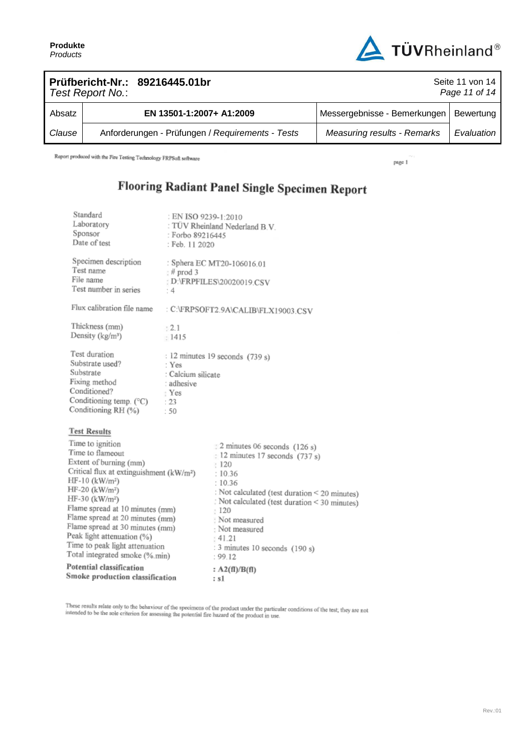

| Prüfbericht-Nr.: 89216445.01br<br>Seite 11 von 14<br>Page 11 of 14<br>Test Report No.: |  |                                                  |                                    |            |
|----------------------------------------------------------------------------------------|--|--------------------------------------------------|------------------------------------|------------|
| Absatz                                                                                 |  | EN 13501-1:2007+ A1:2009                         | Messergebnisse - Bemerkungen       | Bewertung  |
| Clause                                                                                 |  | Anforderungen - Prüfungen / Requirements - Tests | <b>Measuring results - Remarks</b> | Evaluation |

Report produced with the Fire Testing Technology FRPSoft software

page 1

# Flooring Radiant Panel Single Specimen Report

| Standard<br>Laboratory<br>Sponsor<br>Date of test                                                                                                                                                                                                                                                                                                                                                                             | : EN ISO 9239-1:2010<br>: Forbo 89216445<br>: Feb. 11 2020         | : TÜV Rheinland Nederland B.V.                                                                                                                                                                                                                                                                   |  |  |
|-------------------------------------------------------------------------------------------------------------------------------------------------------------------------------------------------------------------------------------------------------------------------------------------------------------------------------------------------------------------------------------------------------------------------------|--------------------------------------------------------------------|--------------------------------------------------------------------------------------------------------------------------------------------------------------------------------------------------------------------------------------------------------------------------------------------------|--|--|
| Specimen description<br>Test name<br>File name<br>Test number in series                                                                                                                                                                                                                                                                                                                                                       | $#$ prod 3<br>: 4                                                  | : Sphera EC MT20-106016.01<br>: D:\FRPFILES\20020019.CSV                                                                                                                                                                                                                                         |  |  |
| Flux calibration file name                                                                                                                                                                                                                                                                                                                                                                                                    |                                                                    | : C:\FRPSOFT2.9A\CALIB\FLX19003.CSV                                                                                                                                                                                                                                                              |  |  |
| Thickness (mm)<br>Density (kg/m <sup>3</sup> )                                                                                                                                                                                                                                                                                                                                                                                | : 2.1<br>: 1415                                                    |                                                                                                                                                                                                                                                                                                  |  |  |
| Test duration<br>Substrate used?<br>Substrate<br>Fixing method<br>Conditioned?<br>Conditioning temp. (°C)<br>Conditioning RH (%)                                                                                                                                                                                                                                                                                              | : Yes<br>: Calcium silicate<br>: adhesive<br>: Yes<br>$-23$<br>.50 | : 12 minutes 19 seconds (739 s)                                                                                                                                                                                                                                                                  |  |  |
| <b>Test Results</b>                                                                                                                                                                                                                                                                                                                                                                                                           |                                                                    |                                                                                                                                                                                                                                                                                                  |  |  |
| Time to ignition<br>Time to flameout<br>Extent of burning (mm)<br>Critical flux at extinguishment (kW/m <sup>2</sup> )<br>$HF-10$ (kW/m <sup>2</sup> )<br>HF-20 (kW/m <sup>2</sup> )<br>HF-30 (kW/m <sup>2</sup> )<br>Flame spread at 10 minutes (mm)<br>Flame spread at 20 minutes (mm)<br>Flame spread at 30 minutes (mm)<br>Peak light attenuation (%)<br>Time to peak light attenuation<br>Total integrated smoke (%.min) |                                                                    | 2 minutes 06 seconds (126 s)<br>$: 12$ minutes 17 seconds (737 s)<br>120<br>: 10.36<br>: 10.36<br>: Not calculated (test duration < 20 minutes)<br>: Not calculated (test duration < 30 minutes)<br>120<br>Not measured<br>: Not measured<br>141.21<br>: 3 minutes 10 seconds (190 s)<br>: 99.12 |  |  |
| Potential classification<br>Smoke production classification                                                                                                                                                                                                                                                                                                                                                                   |                                                                    | : $A2(fI)/B(fI)$<br>: s1                                                                                                                                                                                                                                                                         |  |  |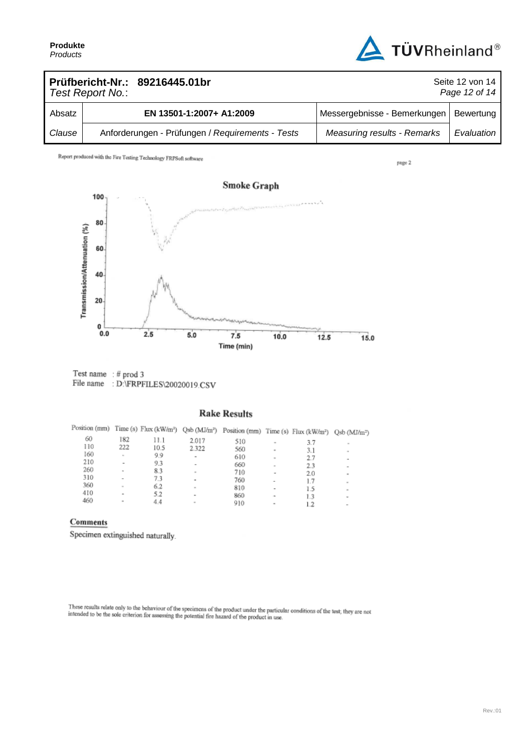

| Prüfbericht-Nr.: 89216445.01br<br>Seite 12 von 14<br>Page 12 of 14<br>Test Report No.: |  |                                                  |                                    |            |
|----------------------------------------------------------------------------------------|--|--------------------------------------------------|------------------------------------|------------|
| Absatz                                                                                 |  | EN 13501-1:2007+ A1:2009                         | Messergebnisse - Bemerkungen       | Bewertung  |
| Clause                                                                                 |  | Anforderungen - Prüfungen / Requirements - Tests | <b>Measuring results - Remarks</b> | Evaluation |

Report produced with the Fire Testing Technology FRPSoft software

page 2



 $\begin{tabular}{ll} Test name & \text{\texttt{# prod 3}}\\ File name & \text{\texttt{: D:}^{\texttt{T}}}\text{RPFILES}\&0020019.CSV\\ \end{tabular}$ 

#### **Rake Results**

| Position (mm) |                          |      |                          | Time (s) Flux (kW/m <sup>2</sup> ) Qsb (MJ/m <sup>2</sup> ) Position (mm) Time (s) Flux (kW/m <sup>2</sup> ) Qsb (MJ/m <sup>2</sup> ) |                          |           |                                        |
|---------------|--------------------------|------|--------------------------|---------------------------------------------------------------------------------------------------------------------------------------|--------------------------|-----------|----------------------------------------|
| 60            | 182                      | 11.1 | 2.017                    | 510                                                                                                                                   | $\sim$                   | 3.7       | $\sim$                                 |
| 110           | 222                      | 10.5 | 2.322                    | 560                                                                                                                                   | $\sim$                   | 3.1       | $\;$                                   |
| 160           | $\sim$                   | 9.9  | $\,$                     | 610                                                                                                                                   | $\sim$                   | 2.7       |                                        |
| 210           | ۰                        | 9.3  | $\overline{\phantom{a}}$ | 660                                                                                                                                   | $\sim$                   | 2.3       | ۰                                      |
| 260           | $\sim$                   | 83   | $\sim$                   | 710                                                                                                                                   | ٠                        | 2.0       | $\qquad \qquad \blacksquare$           |
| 310           | $\overline{\phantom{a}}$ | 7.3  | $\overline{\phantom{a}}$ | 760                                                                                                                                   | $\overline{\phantom{a}}$ | 1.7       | $\qquad \qquad \blacksquare$           |
| 360           | $\sim$                   | 6.2  | $\sim$                   | 810                                                                                                                                   |                          | 1.5       | $\sim$                                 |
| 410           | ٠                        | 5.2  | ۰                        | 860                                                                                                                                   | ۰                        |           | $\sim$                                 |
| 460           | $\equiv$                 | 4.4  | $\sim$                   | 910                                                                                                                                   | ۰                        | 1.3<br>12 | $\sim$<br>$\qquad \qquad \blacksquare$ |

### Comments

Specimen extinguished naturally.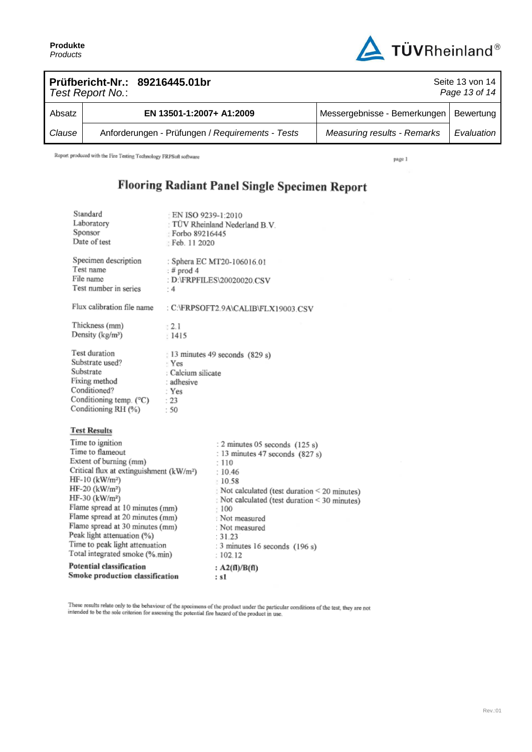

| Prüfbericht-Nr.: 89216445.01br<br>Seite 13 von 14<br>Page 13 of 14<br>Test Report No.: |  |                                                  |                                          |            |
|----------------------------------------------------------------------------------------|--|--------------------------------------------------|------------------------------------------|------------|
| Absatz                                                                                 |  | EN 13501-1:2007+ A1:2009                         | Messergebnisse - Bemerkungen   Bewertung |            |
| Clause                                                                                 |  | Anforderungen - Prüfungen / Requirements - Tests | <b>Measuring results - Remarks</b>       | Evaluation |

Report produced with the Fire Testing Technology FRPSoft software

page 1

## Flooring Radiant Panel Single Specimen Report

| Potential classification<br>Smoke production classification |                                                                                                                                                                                                                                                                                                                                                                                                                                                      |                                                                   | : A2(fl)/B(fl)<br>: s1                                                                                                                                                                                                                                                                                |  |  |
|-------------------------------------------------------------|------------------------------------------------------------------------------------------------------------------------------------------------------------------------------------------------------------------------------------------------------------------------------------------------------------------------------------------------------------------------------------------------------------------------------------------------------|-------------------------------------------------------------------|-------------------------------------------------------------------------------------------------------------------------------------------------------------------------------------------------------------------------------------------------------------------------------------------------------|--|--|
|                                                             | <b>Test Results</b><br>Time to ignition<br>Time to flameout<br>Extent of burning (mm)<br>Critical flux at extinguishment (kW/m <sup>2</sup> )<br>$HF-10$ (kW/m <sup>2</sup> )<br>HF-20 (kW/m <sup>2</sup> )<br>HF-30 (kW/m <sup>2</sup> )<br>Flame spread at 10 minutes (mm)<br>Flame spread at 20 minutes (mm)<br>Flame spread at 30 minutes (mm)<br>Peak light attenuation (%)<br>Time to peak light attenuation<br>Total integrated smoke (%.min) |                                                                   | : 2 minutes 05 seconds (125 s)<br>: 13 minutes 47 seconds (827 s)<br>: 110<br>: 10.46<br>- 10.58<br>Not calculated (test duration < 20 minutes)<br>: Not calculated (test duration < 30 minutes)<br>$-100$<br>Not measured<br>: Not measured<br>: 31.23<br>: 3 minutes 16 seconds (196 s)<br>: 102.12 |  |  |
|                                                             | Test duration<br>Substrate used?<br>Substrate<br>Fixing method<br>Conditioned?<br>Conditioning temp. (°C)<br>Conditioning RH (%)                                                                                                                                                                                                                                                                                                                     | · Yes<br>: Calcium silicate<br>: adhesive<br>: Yes<br>: 23<br>.50 | 13 minutes 49 seconds (829 s)                                                                                                                                                                                                                                                                         |  |  |
|                                                             | Flux calibration file name<br>Thickness (mm)<br>Density (kg/m <sup>3</sup> )                                                                                                                                                                                                                                                                                                                                                                         | t 2.1<br>1415                                                     | : C:\FRPSOFT2.9A\CALIB\FLX19003.CSV                                                                                                                                                                                                                                                                   |  |  |
|                                                             | Specimen description<br>Test name<br>File name<br>Test number in series                                                                                                                                                                                                                                                                                                                                                                              | $:$ # prod 4<br>- 4                                               | : Sphera EC MT20-106016.01<br>: D:\FRPFILES\20020020.CSV                                                                                                                                                                                                                                              |  |  |
|                                                             | Standard<br>Laboratory<br>Sponsor<br>Date of test                                                                                                                                                                                                                                                                                                                                                                                                    | EN ISO 9239-1:2010<br>: Forbo 89216445<br>Feb. 11 2020            | TÜV Rheinland Nederland B.V.                                                                                                                                                                                                                                                                          |  |  |